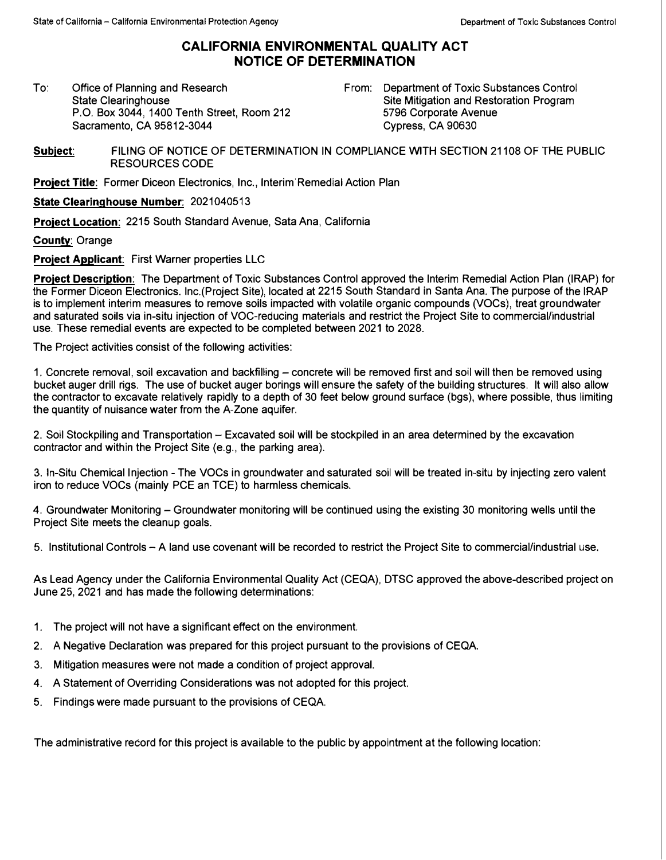## **CALIFORNIA ENVIRONMENTAL QUALITY ACT NOTICE OF DETERMINATION**

To: Office of Planning and Research State Clearinghouse P.O. Box 3044, 1400 Tenth Street, Room 212 Sacramento, CA 95812-3044

From: Department of Toxic Substances Control Site Mitigation and Restoration Program 5796 Corporate Avenue Cypress, CA 90630

**Subject:** FILING OF NOTICE OF DETERMINATION IN COMPLIANCE WITH SECTION 21108 OF THE PUBLIC RESOURCES CODE

**Project Title:** Former Diceon Electronics, Inc., lnterim'Remedial Action Plan

**State Clearinghouse Number:** 2021040513

**Project Location: 2215 South Standard Avenue, Sata Ana, California** 

**County:** Orange

**Project Applicant:** First Warner properties LLC

**Project Description:** The Department of Toxic Substances Control approved the Interim Remedial Action Plan (IRAP) for the Former Diceon Electronics. lnc.(Project Site), located at 2215 South Standard in Santa Ana. The purpose of the IRAP is to implement interim measures to remove soils impacted with volatile organic compounds (VOCs), treat groundwater and saturated soils via in-situ injection of VOC-reducing materials and restrict the Project Site to commercial/industrial use. These remedial events are expected to be completed between 2021 to 2028.

The Project activities consist of the following activities:

1. Concrete removal, soil excavation and backfilling – concrete will be removed first and soil will then be removed using bucket auger drill rigs. The use of bucket auger borings will ensure the safety of the building structures. It will also allow the contractor to excavate relatively rapidly to a depth of 30 feet below ground surface (bgs), where possible, thus limiting the quantity of nuisance water from the A-Zone aquifer.

2. Soil Stockpiling and Transportation - Excavated soil **will** be stockpiled in an area determined by the excavation contractor and within the Project Site (e.g., the parking area).

3. In-Situ Chemical Injection - The VOCs in groundwater and saturated soil will be treated in-situ by injecting zero valent iron to reduce VOCs (mainly PCE an TCE) to harmless chemicals.

4. Groundwater Monitoring - Groundwater monitoring **will** be continued using the existing 30 monitoring wells until the Project Site meets the cleanup goals.

5. Institutional Controls - A land use covenant will be recorded to restrict the Project Site to commercial/industrial use.

As Lead Agency under the California Environmental Quality Act (CEQA), DTSC approved the above-described project on June 25, 2021 and has made the following determinations:

- 1. The project **will** not have a significant effect on the environment.
- 2. A Negative Declaration was prepared for this project pursuant to the provisions of CEQA.
- 3. Mitigation measures were not made a condition of project approval.
- 4. A Statement of Overriding Considerations was not adopted for this project.
- 5. Findings were made pursuant to the provisions of CEQA.

The administrative record for this project is available to the public by appointment at the following location: